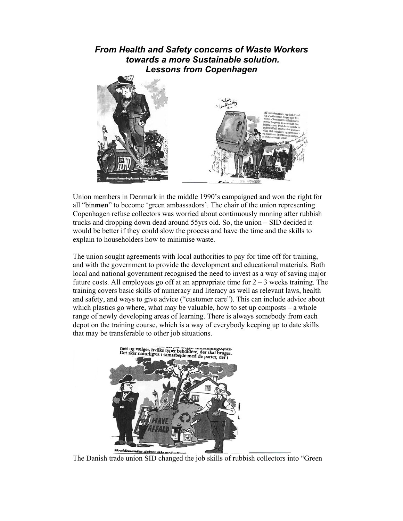*From Health and Safety concerns of Waste Workers towards a more Sustainable solution. Lessons from Copenhagen* 



Union members in Denmark in the middle 1990's campaigned and won the right for all "bin**men**" to become 'green ambassadors'. The chair of the union representing Copenhagen refuse collectors was worried about continuously running after rubbish trucks and dropping down dead around 55yrs old. So, the union – SID decided it would be better if they could slow the process and have the time and the skills to explain to householders how to minimise waste.

The union sought agreements with local authorities to pay for time off for training, and with the government to provide the development and educational materials. Both local and national government recognised the need to invest as a way of saving major future costs. All employees go off at an appropriate time for  $2 - 3$  weeks training. The training covers basic skills of numeracy and literacy as well as relevant laws, health and safety, and ways to give advice ("customer care"). This can include advice about which plastics go where, what may be valuable, how to set up composts – a whole range of newly developing areas of learning. There is always somebody from each depot on the training course, which is a way of everybody keeping up to date skills that may be transferable to other job situations.



The Danish trade union SID changed the job skills of rubbish collectors into "Green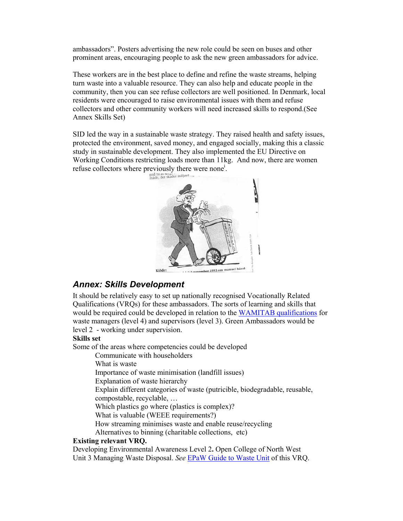ambassadors". Posters advertising the new role could be seen on buses and other prominent areas, encouraging people to ask the new green ambassadors for advice.

These workers are in the best place to define and refine the waste streams, helping turn waste into a valuable resource. They can also help and educate people in the community, then you can see refuse collectors are well positioned. In Denmark, local residents were encouraged to raise environmental issues with them and refuse collectors and other community workers will need increased skills to respond.(See Annex Skills Set)

SID led the way in a sustainable waste strategy. They raised health and safety issues, protected the environment, saved money, and engaged socially, making this a classic study in sustainable development. They also implemented the EU Directive on Working Conditions restricting loads more than 11kg. And now, there are women refuse collectors where previously there were none<sup>i</sup>.



## *Annex: Skills Development*

It should be relatively easy to set up nationally recognised Vocationally Related Qualifications (VRQs) for these ambassadors. The sorts of learning and skills that would be required could be developed in relation to the WAMITAB qualifications for waste managers (level 4) and supervisors (level 3). Green Ambassadors would be level 2 - working under supervision.

## **Skills set**

Some of the areas where competencies could be developed

Communicate with householders

What is waste

Importance of waste minimisation (landfill issues)

Explanation of waste hierarchy

Explain different categories of waste (putricible, biodegradable, reusable,

compostable, recyclable, …

Which plastics go where (plastics is complex)?

What is valuable (WEEE requirements?)

How streaming minimises waste and enable reuse/recycling

Alternatives to binning (charitable collections, etc)

## **Existing relevant VRQ.**

Developing Environmental Awareness Level 2**.** Open College of North West Unit 3 Managing Waste Disposal. *See* EPaW Guide to Waste Unit of this VRQ.